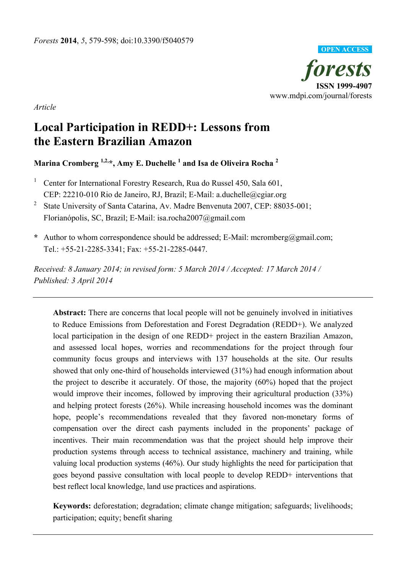

*Article*

# **Local Participation in REDD+: Lessons from the Eastern Brazilian Amazon**

**Marina Cromberg 1,2,\*, Amy E. Duchelle <sup>1</sup> and Isa de Oliveira Rocha <sup>2</sup>**

- <sup>1</sup> Center for International Forestry Research, Rua do Russel 450, Sala 601, CEP: 22210-010 Rio de Janeiro, RJ, Brazil; E-Mail: a.duchelle@cgiar.org
- 2 State University of Santa Catarina, Av. Madre Benvenuta 2007, CEP: 88035-001; Florianópolis, SC, Brazil; E-Mail: isa.rocha2007@gmail.com
- **\*** Author to whom correspondence should be addressed; E-Mail: mcromberg@gmail.com; Tel.: +55-21-2285-3341; Fax: +55-21-2285-0447.

*Received: 8 January 2014; in revised form: 5 March 2014 / Accepted: 17 March 2014 / Published: 3 April 2014* 

**Abstract:** There are concerns that local people will not be genuinely involved in initiatives to Reduce Emissions from Deforestation and Forest Degradation (REDD+). We analyzed local participation in the design of one REDD+ project in the eastern Brazilian Amazon, and assessed local hopes, worries and recommendations for the project through four community focus groups and interviews with 137 households at the site. Our results showed that only one-third of households interviewed (31%) had enough information about the project to describe it accurately. Of those, the majority (60%) hoped that the project would improve their incomes, followed by improving their agricultural production (33%) and helping protect forests (26%). While increasing household incomes was the dominant hope, people's recommendations revealed that they favored non-monetary forms of compensation over the direct cash payments included in the proponents' package of incentives. Their main recommendation was that the project should help improve their production systems through access to technical assistance, machinery and training, while valuing local production systems (46%). Our study highlights the need for participation that goes beyond passive consultation with local people to develop REDD+ interventions that best reflect local knowledge, land use practices and aspirations.

**Keywords:** deforestation; degradation; climate change mitigation; safeguards; livelihoods; participation; equity; benefit sharing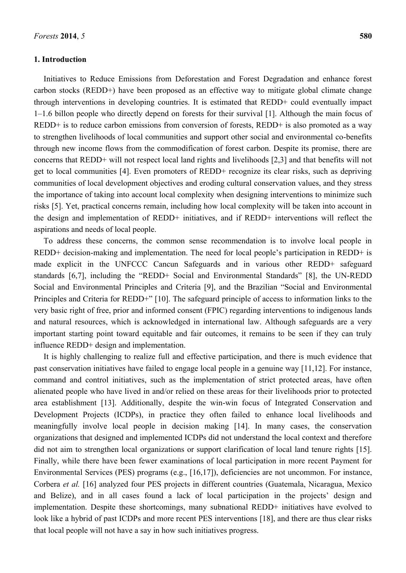## **1. Introduction**

Initiatives to Reduce Emissions from Deforestation and Forest Degradation and enhance forest carbon stocks (REDD+) have been proposed as an effective way to mitigate global climate change through interventions in developing countries. It is estimated that REDD+ could eventually impact 1–1.6 billon people who directly depend on forests for their survival [1]. Although the main focus of REDD+ is to reduce carbon emissions from conversion of forests, REDD+ is also promoted as a way to strengthen livelihoods of local communities and support other social and environmental co-benefits through new income flows from the commodification of forest carbon. Despite its promise, there are concerns that REDD+ will not respect local land rights and livelihoods [2,3] and that benefits will not get to local communities [4]. Even promoters of REDD+ recognize its clear risks, such as depriving communities of local development objectives and eroding cultural conservation values, and they stress the importance of taking into account local complexity when designing interventions to minimize such risks [5]. Yet, practical concerns remain, including how local complexity will be taken into account in the design and implementation of REDD+ initiatives, and if REDD+ interventions will reflect the aspirations and needs of local people.

To address these concerns, the common sense recommendation is to involve local people in REDD+ decision-making and implementation. The need for local people's participation in REDD+ is made explicit in the UNFCCC Cancun Safeguards and in various other REDD+ safeguard standards [6,7], including the "REDD+ Social and Environmental Standards" [8], the UN-REDD Social and Environmental Principles and Criteria [9], and the Brazilian "Social and Environmental Principles and Criteria for REDD+" [10]. The safeguard principle of access to information links to the very basic right of free, prior and informed consent (FPIC) regarding interventions to indigenous lands and natural resources, which is acknowledged in international law. Although safeguards are a very important starting point toward equitable and fair outcomes, it remains to be seen if they can truly influence REDD+ design and implementation.

It is highly challenging to realize full and effective participation, and there is much evidence that past conservation initiatives have failed to engage local people in a genuine way [11,12]. For instance, command and control initiatives, such as the implementation of strict protected areas, have often alienated people who have lived in and/or relied on these areas for their livelihoods prior to protected area establishment [13]. Additionally, despite the win-win focus of Integrated Conservation and Development Projects (ICDPs), in practice they often failed to enhance local livelihoods and meaningfully involve local people in decision making [14]. In many cases, the conservation organizations that designed and implemented ICDPs did not understand the local context and therefore did not aim to strengthen local organizations or support clarification of local land tenure rights [15]. Finally, while there have been fewer examinations of local participation in more recent Payment for Environmental Services (PES) programs (e.g., [16,17]), deficiencies are not uncommon. For instance, Corbera *et al.* [16] analyzed four PES projects in different countries (Guatemala, Nicaragua, Mexico and Belize), and in all cases found a lack of local participation in the projects' design and implementation. Despite these shortcomings, many subnational REDD+ initiatives have evolved to look like a hybrid of past ICDPs and more recent PES interventions [18], and there are thus clear risks that local people will not have a say in how such initiatives progress.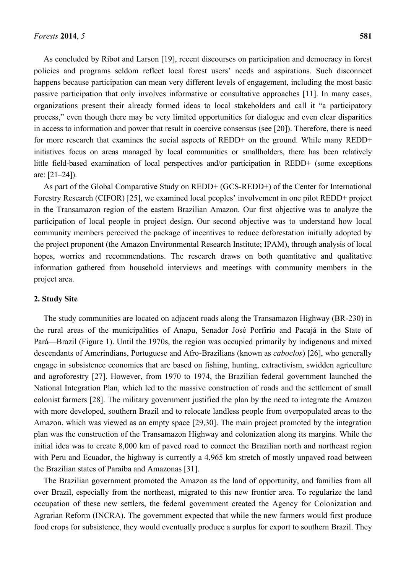As concluded by Ribot and Larson [19], recent discourses on participation and democracy in forest policies and programs seldom reflect local forest users' needs and aspirations. Such disconnect happens because participation can mean very different levels of engagement, including the most basic passive participation that only involves informative or consultative approaches [11]. In many cases, organizations present their already formed ideas to local stakeholders and call it "a participatory process," even though there may be very limited opportunities for dialogue and even clear disparities in access to information and power that result in coercive consensus (see [20]). Therefore, there is need for more research that examines the social aspects of REDD+ on the ground. While many REDD+ initiatives focus on areas managed by local communities or smallholders, there has been relatively little field-based examination of local perspectives and/or participation in REDD+ (some exceptions are: [21–24]).

As part of the Global Comparative Study on REDD+ (GCS-REDD+) of the Center for International Forestry Research (CIFOR) [25], we examined local peoples' involvement in one pilot REDD+ project in the Transamazon region of the eastern Brazilian Amazon. Our first objective was to analyze the participation of local people in project design. Our second objective was to understand how local community members perceived the package of incentives to reduce deforestation initially adopted by the project proponent (the Amazon Environmental Research Institute; IPAM), through analysis of local hopes, worries and recommendations. The research draws on both quantitative and qualitative information gathered from household interviews and meetings with community members in the project area.

#### **2. Study Site**

The study communities are located on adjacent roads along the Transamazon Highway (BR-230) in the rural areas of the municipalities of Anapu, Senador José Porfírio and Pacajá in the State of Pará—Brazil (Figure 1). Until the 1970s, the region was occupied primarily by indigenous and mixed descendants of Amerindians, Portuguese and Afro-Brazilians (known as *caboclos*) [26], who generally engage in subsistence economies that are based on fishing, hunting, extractivism, swidden agriculture and agroforestry [27]. However, from 1970 to 1974, the Brazilian federal government launched the National Integration Plan, which led to the massive construction of roads and the settlement of small colonist farmers [28]. The military government justified the plan by the need to integrate the Amazon with more developed, southern Brazil and to relocate landless people from overpopulated areas to the Amazon, which was viewed as an empty space [29,30]. The main project promoted by the integration plan was the construction of the Transamazon Highway and colonization along its margins. While the initial idea was to create 8,000 km of paved road to connect the Brazilian north and northeast region with Peru and Ecuador, the highway is currently a 4,965 km stretch of mostly unpaved road between the Brazilian states of Paraíba and Amazonas [31].

The Brazilian government promoted the Amazon as the land of opportunity, and families from all over Brazil, especially from the northeast, migrated to this new frontier area. To regularize the land occupation of these new settlers, the federal government created the Agency for Colonization and Agrarian Reform (INCRA). The government expected that while the new farmers would first produce food crops for subsistence, they would eventually produce a surplus for export to southern Brazil. They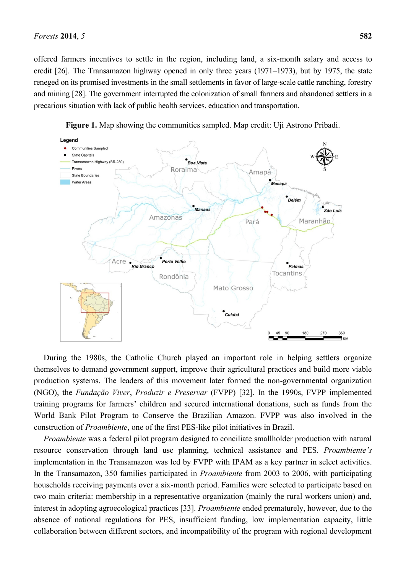offered farmers incentives to settle in the region, including land, a six-month salary and access to credit [26]. The Transamazon highway opened in only three years (1971–1973), but by 1975, the state reneged on its promised investments in the small settlements in favor of large-scale cattle ranching, forestry and mining [28]. The government interrupted the colonization of small farmers and abandoned settlers in a precarious situation with lack of public health services, education and transportation.



**Figure 1.** Map showing the communities sampled. Map credit: Uji Astrono Pribadi.

During the 1980s, the Catholic Church played an important role in helping settlers organize themselves to demand government support, improve their agricultural practices and build more viable production systems. The leaders of this movement later formed the non-governmental organization (NGO), the *Fundação Viver*, *Produzir e Preservar* (FVPP) [32]. In the 1990s, FVPP implemented training programs for farmers' children and secured international donations, such as funds from the World Bank Pilot Program to Conserve the Brazilian Amazon. FVPP was also involved in the construction of *Proambiente*, one of the first PES-like pilot initiatives in Brazil.

*Proambiente* was a federal pilot program designed to conciliate smallholder production with natural resource conservation through land use planning, technical assistance and PES. *Proambiente's* implementation in the Transamazon was led by FVPP with IPAM as a key partner in select activities. In the Transamazon, 350 families participated in *Proambiente* from 2003 to 2006, with participating households receiving payments over a six-month period. Families were selected to participate based on two main criteria: membership in a representative organization (mainly the rural workers union) and, interest in adopting agroecological practices [33]. *Proambiente* ended prematurely, however, due to the absence of national regulations for PES, insufficient funding, low implementation capacity, little collaboration between different sectors, and incompatibility of the program with regional development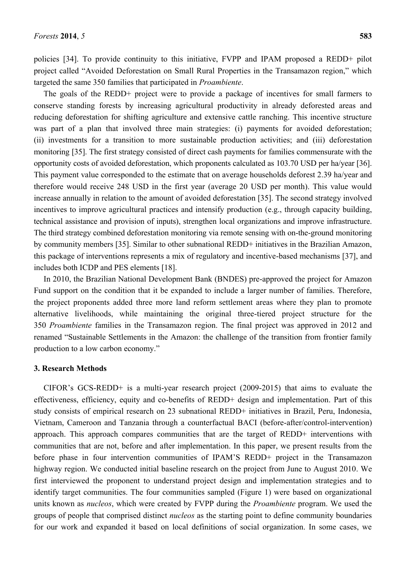policies [34]. To provide continuity to this initiative, FVPP and IPAM proposed a REDD+ pilot project called "Avoided Deforestation on Small Rural Properties in the Transamazon region," which targeted the same 350 families that participated in *Proambiente*.

The goals of the REDD+ project were to provide a package of incentives for small farmers to conserve standing forests by increasing agricultural productivity in already deforested areas and reducing deforestation for shifting agriculture and extensive cattle ranching. This incentive structure was part of a plan that involved three main strategies: (i) payments for avoided deforestation; (ii) investments for a transition to more sustainable production activities; and (iii) deforestation monitoring [35]. The first strategy consisted of direct cash payments for families commensurate with the opportunity costs of avoided deforestation, which proponents calculated as 103.70 USD per ha/year [36]. This payment value corresponded to the estimate that on average households deforest 2.39 ha/year and therefore would receive 248 USD in the first year (average 20 USD per month). This value would increase annually in relation to the amount of avoided deforestation [35]. The second strategy involved incentives to improve agricultural practices and intensify production (e.g., through capacity building, technical assistance and provision of inputs), strengthen local organizations and improve infrastructure. The third strategy combined deforestation monitoring via remote sensing with on-the-ground monitoring by community members [35]. Similar to other subnational REDD+ initiatives in the Brazilian Amazon, this package of interventions represents a mix of regulatory and incentive-based mechanisms [37], and includes both ICDP and PES elements [18].

In 2010, the Brazilian National Development Bank (BNDES) pre-approved the project for Amazon Fund support on the condition that it be expanded to include a larger number of families. Therefore, the project proponents added three more land reform settlement areas where they plan to promote alternative livelihoods, while maintaining the original three-tiered project structure for the 350 *Proambiente* families in the Transamazon region. The final project was approved in 2012 and renamed "Sustainable Settlements in the Amazon: the challenge of the transition from frontier family production to a low carbon economy."

## **3. Research Methods**

CIFOR's GCS-REDD+ is a multi-year research project (2009-2015) that aims to evaluate the effectiveness, efficiency, equity and co-benefits of REDD+ design and implementation. Part of this study consists of empirical research on 23 subnational REDD+ initiatives in Brazil, Peru, Indonesia, Vietnam, Cameroon and Tanzania through a counterfactual BACI (before-after/control-intervention) approach. This approach compares communities that are the target of REDD+ interventions with communities that are not, before and after implementation. In this paper, we present results from the before phase in four intervention communities of IPAM'S REDD+ project in the Transamazon highway region. We conducted initial baseline research on the project from June to August 2010. We first interviewed the proponent to understand project design and implementation strategies and to identify target communities. The four communities sampled (Figure 1) were based on organizational units known as *nucleos*, which were created by FVPP during the *Proambiente* program. We used the groups of people that comprised distinct *nucleos* as the starting point to define community boundaries for our work and expanded it based on local definitions of social organization. In some cases, we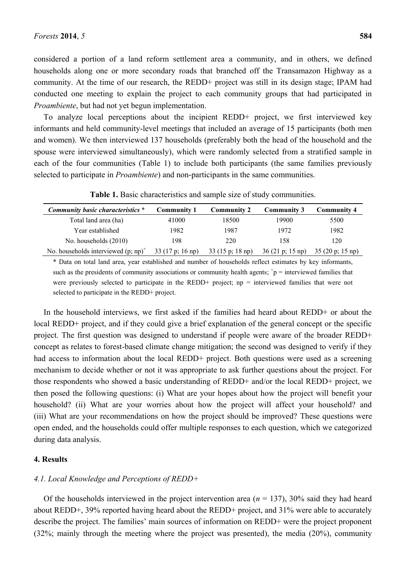considered a portion of a land reform settlement area a community, and in others, we defined households along one or more secondary roads that branched off the Transamazon Highway as a community. At the time of our research, the REDD+ project was still in its design stage; IPAM had conducted one meeting to explain the project to each community groups that had participated in *Proambiente*, but had not yet begun implementation.

To analyze local perceptions about the incipient REDD+ project, we first interviewed key informants and held community-level meetings that included an average of 15 participants (both men and women). We then interviewed 137 households (preferably both the head of the household and the spouse were interviewed simultaneously), which were randomly selected from a stratified sample in each of the four communities (Table 1) to include both participants (the same families previously selected to participate in *Proambiente*) and non-participants in the same communities.

| Community basic characteristics *      | <b>Community 1</b>                | <b>Community 2</b>                | Community 3                       | <b>Community 4</b> |
|----------------------------------------|-----------------------------------|-----------------------------------|-----------------------------------|--------------------|
| Total land area (ha)                   | 41000                             | 18500                             | 19900                             | 5500               |
| Year established                       | 1982                              | 1987                              | 1972                              | 1982               |
| No. households (2010)                  | 198                               | 220                               | 158                               | 120                |
| No. households interviewed $(p; np)^+$ | $33(17 \text{ p}; 16 \text{ np})$ | $33(15 \text{ p}; 18 \text{ np})$ | $36(21 \text{ p}; 15 \text{ np})$ | 35(20 p; 15 np)    |

**Table 1.** Basic characteristics and sample size of study communities.

\* Data on total land area, year established and number of households reflect estimates by key informants, such as the presidents of community associations or community health agents;  $p$  = interviewed families that were previously selected to participate in the REDD+ project; np = interviewed families that were not selected to participate in the REDD+ project.

In the household interviews, we first asked if the families had heard about REDD+ or about the local REDD+ project, and if they could give a brief explanation of the general concept or the specific project. The first question was designed to understand if people were aware of the broader REDD+ concept as relates to forest-based climate change mitigation; the second was designed to verify if they had access to information about the local REDD+ project. Both questions were used as a screening mechanism to decide whether or not it was appropriate to ask further questions about the project. For those respondents who showed a basic understanding of REDD+ and/or the local REDD+ project, we then posed the following questions: (i) What are your hopes about how the project will benefit your household? (ii) What are your worries about how the project will affect your household? and (iii) What are your recommendations on how the project should be improved? These questions were open ended, and the households could offer multiple responses to each question, which we categorized during data analysis.

## **4. Results**

### *4.1. Local Knowledge and Perceptions of REDD+*

Of the households interviewed in the project intervention area  $(n = 137)$ , 30% said they had heard about REDD+, 39% reported having heard about the REDD+ project, and 31% were able to accurately describe the project. The families' main sources of information on REDD+ were the project proponent (32%; mainly through the meeting where the project was presented), the media (20%), community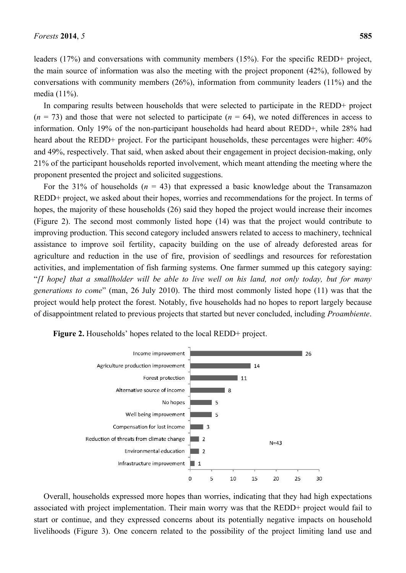leaders (17%) and conversations with community members (15%). For the specific REDD+ project, the main source of information was also the meeting with the project proponent (42%), followed by conversations with community members (26%), information from community leaders (11%) and the media (11%).

In comparing results between households that were selected to participate in the REDD+ project  $(n = 73)$  and those that were not selected to participate  $(n = 64)$ , we noted differences in access to information. Only 19% of the non-participant households had heard about REDD+, while 28% had heard about the REDD+ project. For the participant households, these percentages were higher: 40% and 49%, respectively. That said, when asked about their engagement in project decision-making, only 21% of the participant households reported involvement, which meant attending the meeting where the proponent presented the project and solicited suggestions.

For the 31% of households  $(n = 43)$  that expressed a basic knowledge about the Transamazon REDD+ project, we asked about their hopes, worries and recommendations for the project. In terms of hopes, the majority of these households (26) said they hoped the project would increase their incomes (Figure 2). The second most commonly listed hope (14) was that the project would contribute to improving production. This second category included answers related to access to machinery, technical assistance to improve soil fertility, capacity building on the use of already deforested areas for agriculture and reduction in the use of fire, provision of seedlings and resources for reforestation activities, and implementation of fish farming systems. One farmer summed up this category saying: ―*[I hope] that a smallholder will be able to live well on his land, not only today, but for many generations to come*" (man, 26 July 2010). The third most commonly listed hope (11) was that the project would help protect the forest. Notably, five households had no hopes to report largely because of disappointment related to previous projects that started but never concluded, including *Proambiente*.



**Figure 2.** Households' hopes related to the local REDD+ project.

Overall, households expressed more hopes than worries, indicating that they had high expectations associated with project implementation. Their main worry was that the REDD+ project would fail to start or continue, and they expressed concerns about its potentially negative impacts on household livelihoods (Figure 3). One concern related to the possibility of the project limiting land use and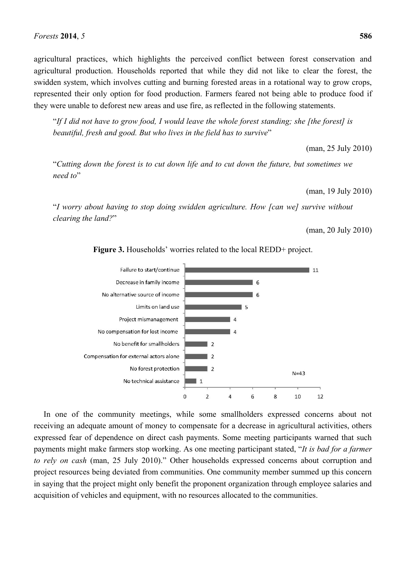agricultural practices, which highlights the perceived conflict between forest conservation and agricultural production. Households reported that while they did not like to clear the forest, the swidden system, which involves cutting and burning forested areas in a rotational way to grow crops, represented their only option for food production. Farmers feared not being able to produce food if they were unable to deforest new areas and use fire, as reflected in the following statements.

―*If I did not have to grow food, I would leave the whole forest standing; she [the forest] is beautiful, fresh and good. But who lives in the field has to survive*"

(man, 25 July 2010)

―*Cutting down the forest is to cut down life and to cut down the future, but sometimes we*  need to"

(man, 19 July 2010)

―*I worry about having to stop doing swidden agriculture. How [can we] survive without clearing the land?*‖

(man, 20 July 2010)



**Figure 3.** Households' worries related to the local REDD+ project.

In one of the community meetings, while some smallholders expressed concerns about not receiving an adequate amount of money to compensate for a decrease in agricultural activities, others expressed fear of dependence on direct cash payments. Some meeting participants warned that such payments might make farmers stop working. As one meeting participant stated, "*It is bad for a farmer to rely on cash* (man, 25 July 2010)." Other households expressed concerns about corruption and project resources being deviated from communities. One community member summed up this concern in saying that the project might only benefit the proponent organization through employee salaries and acquisition of vehicles and equipment, with no resources allocated to the communities.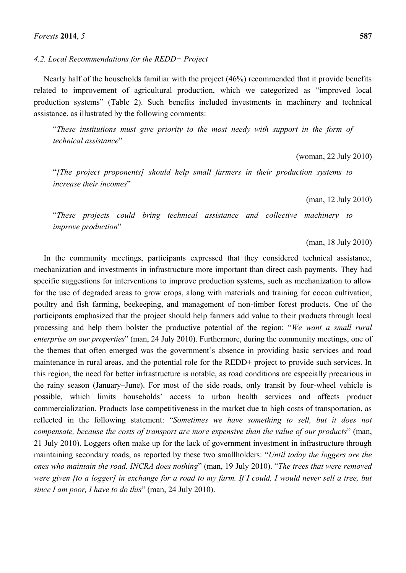*4.2. Local Recommendations for the REDD+ Project*

Nearly half of the households familiar with the project (46%) recommended that it provide benefits related to improvement of agricultural production, which we categorized as "improved local production systems" (Table 2). Such benefits included investments in machinery and technical assistance, as illustrated by the following comments:

―*These institutions must give priority to the most needy with support in the form of technical assistance*"

(woman, 22 July 2010)

―*[The project proponents] should help small farmers in their production systems to increase their incomes*"

(man, 12 July 2010)

―*These projects could bring technical assistance and collective machinery to improve production*"

(man, 18 July 2010)

In the community meetings, participants expressed that they considered technical assistance, mechanization and investments in infrastructure more important than direct cash payments. They had specific suggestions for interventions to improve production systems, such as mechanization to allow for the use of degraded areas to grow crops, along with materials and training for cocoa cultivation, poultry and fish farming, beekeeping, and management of non-timber forest products. One of the participants emphasized that the project should help farmers add value to their products through local processing and help them bolster the productive potential of the region: "We want a small rural *enterprise on our properties*" (man, 24 July 2010). Furthermore, during the community meetings, one of the themes that often emerged was the government's absence in providing basic services and road maintenance in rural areas, and the potential role for the REDD+ project to provide such services. In this region, the need for better infrastructure is notable, as road conditions are especially precarious in the rainy season (January–June). For most of the side roads, only transit by four-wheel vehicle is possible, which limits households' access to urban health services and affects product commercialization. Products lose competitiveness in the market due to high costs of transportation, as reflected in the following statement: "Sometimes we have something to sell, but it does not *compensate, because the costs of transport are more expensive than the value of our products*" (man, 21 July 2010). Loggers often make up for the lack of government investment in infrastructure through maintaining secondary roads, as reported by these two smallholders: "Until today the loggers are the *ones who maintain the road. INCRA does nothing*" (man, 19 July 2010). "The trees that were removed *were given [to a logger] in exchange for a road to my farm. If I could, I would never sell a tree, but since I am poor, I have to do this*" (man, 24 July 2010).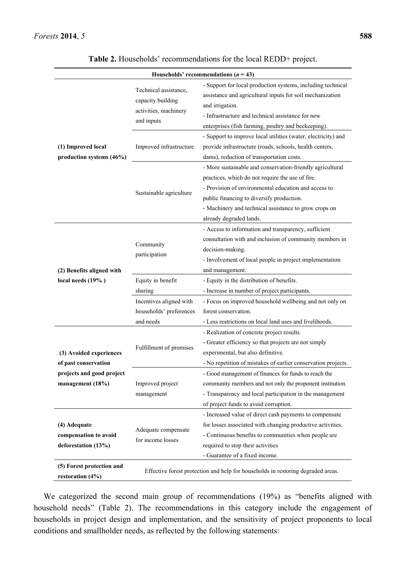| Households' recommendations ( $n = 43$ )                                                         |                                                                                   |                                                                                                                                                                                                                                                                                                        |  |  |  |  |
|--------------------------------------------------------------------------------------------------|-----------------------------------------------------------------------------------|--------------------------------------------------------------------------------------------------------------------------------------------------------------------------------------------------------------------------------------------------------------------------------------------------------|--|--|--|--|
| (1) Improved local<br>production systems (46%)                                                   | Technical assistance,<br>capacity building<br>activities, machinery<br>and inputs | - Support for local production systems, including technical<br>assistance and agricultural inputs for soil mechanization<br>and irrigation.<br>- Infrastructure and technical assistance for new<br>enterprises (fish farming, poultry and beekeeping).                                                |  |  |  |  |
|                                                                                                  | Improved infrastructure                                                           | - Support to improve local utilities (water, electricity) and<br>provide infrastructure (roads, schools, health centers,<br>dams), reduction of transportation costs.                                                                                                                                  |  |  |  |  |
|                                                                                                  | Sustainable agriculture                                                           | - More sustainable and conservation-friendly agricultural<br>practices, which do not require the use of fire.<br>- Provision of environmental education and access to<br>public financing to diversify production.<br>- Machinery and technical assistance to grow crops on<br>already degraded lands. |  |  |  |  |
| (2) Benefits aligned with<br>local needs (19%)                                                   | Community<br>participation                                                        | - Access to information and transparency, sufficient<br>consultation with and inclusion of community members in<br>decision-making.<br>- Involvement of local people in project implementation<br>and management.                                                                                      |  |  |  |  |
|                                                                                                  | Equity in benefit                                                                 | - Equity in the distribution of benefits.                                                                                                                                                                                                                                                              |  |  |  |  |
|                                                                                                  | sharing                                                                           | - Increase in number of project participants.                                                                                                                                                                                                                                                          |  |  |  |  |
|                                                                                                  | Incentives aligned with<br>households' preferences<br>and needs                   | - Focus on improved household wellbeing and not only on<br>forest conservation.<br>- Less restrictions on local land uses and livelihoods.                                                                                                                                                             |  |  |  |  |
| (3) Avoided experiences<br>of past conservation<br>projects and good project<br>management (18%) | Fulfillment of promises                                                           | - Realization of concrete project results.<br>- Greater efficiency so that projects are not simply<br>experimental, but also definitive.<br>- No repetition of mistakes of earlier conservation projects.                                                                                              |  |  |  |  |
|                                                                                                  | Improved project<br>management                                                    | - Good management of finances for funds to reach the<br>community members and not only the proponent institution.<br>- Transparency and local participation in the management<br>of project funds to avoid corruption.                                                                                 |  |  |  |  |
| (4) Adequate<br>compensation to avoid<br>deforestation (13%)                                     | Adequate compensate<br>for income losses                                          | - Increased value of direct cash payments to compensate<br>for losses associated with changing productive activities.<br>- Continuous benefits to communities when people are<br>required to stop their activities<br>- Guarantee of a fixed income.                                                   |  |  |  |  |
| (5) Forest protection and<br>restoration (4%)                                                    | Effective forest protection and help for households in restoring degraded areas.  |                                                                                                                                                                                                                                                                                                        |  |  |  |  |

| Table 2. Households' recommendations for the local REDD+ project. |  |  |  |
|-------------------------------------------------------------------|--|--|--|
|-------------------------------------------------------------------|--|--|--|

We categorized the second main group of recommendations (19%) as "benefits aligned with household needs" (Table 2). The recommendations in this category include the engagement of households in project design and implementation, and the sensitivity of project proponents to local conditions and smallholder needs, as reflected by the following statements: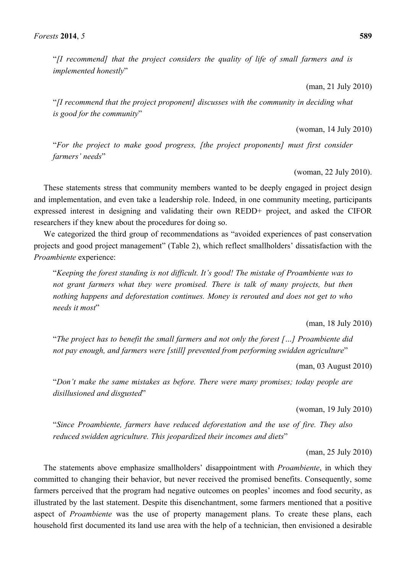―*[I recommend] that the project considers the quality of life of small farmers and is implemented honestly*"

(man, 21 July 2010)

―*[I recommend that the project proponent] discusses with the community in deciding what is good for the community*"

(woman, 14 July 2010)

―*For the project to make good progress, [the project proponents] must first consider farmers'* needs"

(woman, 22 July 2010).

These statements stress that community members wanted to be deeply engaged in project design and implementation, and even take a leadership role. Indeed, in one community meeting, participants expressed interest in designing and validating their own REDD+ project, and asked the CIFOR researchers if they knew about the procedures for doing so.

We categorized the third group of recommendations as "avoided experiences of past conservation projects and good project management" (Table 2), which reflect smallholders' dissatisfaction with the *Proambiente* experience:

―*Keeping the forest standing is not difficult. It's good! The mistake of Proambiente was to*  not grant farmers what they were promised. There is talk of many projects, but then *nothing happens and deforestation continues. Money is rerouted and does not get to who needs it most*"

(man, 18 July 2010)

―*The project has to benefit the small farmers and not only the forest […] Proambiente did*  not pay enough, and farmers were [still] prevented from performing swidden agriculture"

(man, 03 August 2010)

―*Don't make the same mistakes as before. There were many promises; today people are disillusioned and disgusted*"

(woman, 19 July 2010)

―*Since Proambiente, farmers have reduced deforestation and the use of fire. They also*  reduced swidden agriculture. This jeopardized their incomes and diets"

(man, 25 July 2010)

The statements above emphasize smallholders' disappointment with *Proambiente*, in which they committed to changing their behavior, but never received the promised benefits. Consequently, some farmers perceived that the program had negative outcomes on peoples' incomes and food security, as illustrated by the last statement. Despite this disenchantment, some farmers mentioned that a positive aspect of *Proambiente* was the use of property management plans. To create these plans, each household first documented its land use area with the help of a technician, then envisioned a desirable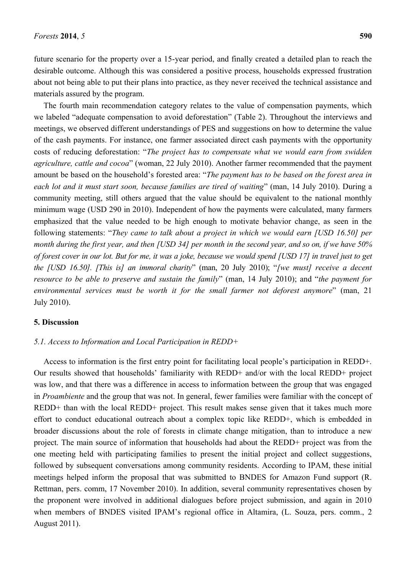future scenario for the property over a 15-year period, and finally created a detailed plan to reach the desirable outcome. Although this was considered a positive process, households expressed frustration about not being able to put their plans into practice, as they never received the technical assistance and materials assured by the program.

The fourth main recommendation category relates to the value of compensation payments, which we labeled "adequate compensation to avoid deforestation" (Table 2). Throughout the interviews and meetings, we observed different understandings of PES and suggestions on how to determine the value of the cash payments. For instance, one farmer associated direct cash payments with the opportunity costs of reducing deforestation: "The project has to compensate what we would earn from swidden *agriculture, cattle and cocoa*" (woman, 22 July 2010). Another farmer recommended that the payment amount be based on the household's forested area: "The payment has to be based on the forest area in each lot and it must start soon, because families are tired of waiting" (man, 14 July 2010). During a community meeting, still others argued that the value should be equivalent to the national monthly minimum wage (USD 290 in 2010). Independent of how the payments were calculated, many farmers emphasized that the value needed to be high enough to motivate behavior change, as seen in the following statements: "*They came to talk about a project in which we would earn [USD 16.50] per month during the first year, and then [USD 34] per month in the second year, and so on, if we have 50% of forest cover in our lot. But for me, it was a joke, because we would spend [USD 17] in travel just to get the [USD 16.50]. [This is] an immoral charity*‖ (man, 20 July 2010); ―*[we must] receive a decent resource to be able to preserve and sustain the family*" (man, 14 July 2010); and "*the payment for environmental services must be worth it for the small farmer not deforest anymore*" (man, 21 July 2010).

## **5. Discussion**

#### *5.1. Access to Information and Local Participation in REDD+*

Access to information is the first entry point for facilitating local people's participation in REDD+. Our results showed that households' familiarity with REDD+ and/or with the local REDD+ project was low, and that there was a difference in access to information between the group that was engaged in *Proambiente* and the group that was not. In general, fewer families were familiar with the concept of REDD+ than with the local REDD+ project. This result makes sense given that it takes much more effort to conduct educational outreach about a complex topic like REDD+, which is embedded in broader discussions about the role of forests in climate change mitigation, than to introduce a new project. The main source of information that households had about the REDD+ project was from the one meeting held with participating families to present the initial project and collect suggestions, followed by subsequent conversations among community residents. According to IPAM, these initial meetings helped inform the proposal that was submitted to BNDES for Amazon Fund support (R. Rettman, pers. comm, 17 November 2010). In addition, several community representatives chosen by the proponent were involved in additional dialogues before project submission, and again in 2010 when members of BNDES visited IPAM's regional office in Altamira, (L. Souza, pers. comm., 2 August 2011).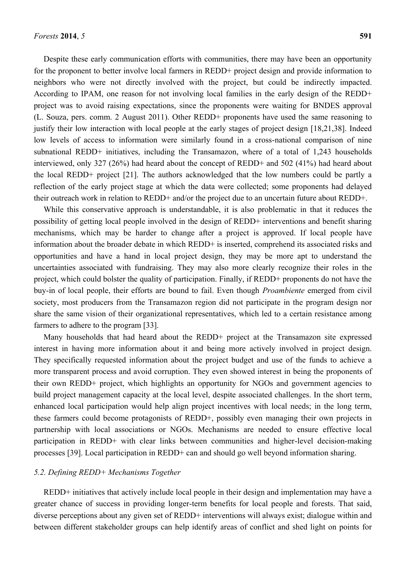Despite these early communication efforts with communities, there may have been an opportunity for the proponent to better involve local farmers in REDD+ project design and provide information to neighbors who were not directly involved with the project, but could be indirectly impacted. According to IPAM, one reason for not involving local families in the early design of the REDD+ project was to avoid raising expectations, since the proponents were waiting for BNDES approval (L. Souza, pers. comm. 2 August 2011). Other REDD+ proponents have used the same reasoning to justify their low interaction with local people at the early stages of project design [18,21,38]. Indeed low levels of access to information were similarly found in a cross-national comparison of nine subnational REDD+ initiatives, including the Transamazon, where of a total of 1,243 households interviewed, only 327 (26%) had heard about the concept of REDD+ and 502 (41%) had heard about the local REDD+ project [21]. The authors acknowledged that the low numbers could be partly a reflection of the early project stage at which the data were collected; some proponents had delayed their outreach work in relation to REDD+ and/or the project due to an uncertain future about REDD+.

While this conservative approach is understandable, it is also problematic in that it reduces the possibility of getting local people involved in the design of REDD+ interventions and benefit sharing mechanisms, which may be harder to change after a project is approved. If local people have information about the broader debate in which REDD+ is inserted, comprehend its associated risks and opportunities and have a hand in local project design, they may be more apt to understand the uncertainties associated with fundraising. They may also more clearly recognize their roles in the project, which could bolster the quality of participation. Finally, if REDD+ proponents do not have the buy-in of local people, their efforts are bound to fail. Even though *Proambiente* emerged from civil society, most producers from the Transamazon region did not participate in the program design nor share the same vision of their organizational representatives, which led to a certain resistance among farmers to adhere to the program [33].

Many households that had heard about the REDD+ project at the Transamazon site expressed interest in having more information about it and being more actively involved in project design. They specifically requested information about the project budget and use of the funds to achieve a more transparent process and avoid corruption. They even showed interest in being the proponents of their own REDD+ project, which highlights an opportunity for NGOs and government agencies to build project management capacity at the local level, despite associated challenges. In the short term, enhanced local participation would help align project incentives with local needs; in the long term, these farmers could become protagonists of REDD+, possibly even managing their own projects in partnership with local associations or NGOs. Mechanisms are needed to ensure effective local participation in REDD+ with clear links between communities and higher-level decision-making processes [39]. Local participation in REDD+ can and should go well beyond information sharing.

## *5.2. Defining REDD+ Mechanisms Together*

REDD+ initiatives that actively include local people in their design and implementation may have a greater chance of success in providing longer-term benefits for local people and forests. That said, diverse perceptions about any given set of REDD+ interventions will always exist; dialogue within and between different stakeholder groups can help identify areas of conflict and shed light on points for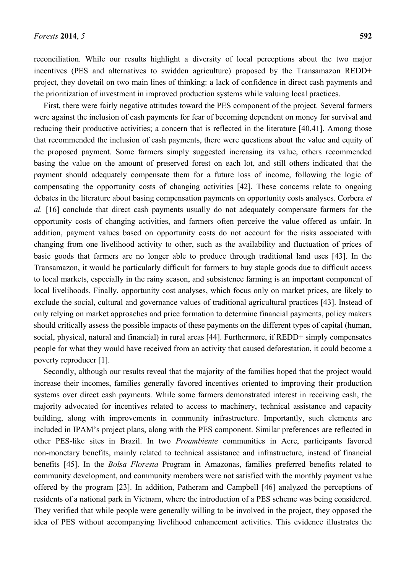reconciliation. While our results highlight a diversity of local perceptions about the two major incentives (PES and alternatives to swidden agriculture) proposed by the Transamazon REDD+ project, they dovetail on two main lines of thinking: a lack of confidence in direct cash payments and the prioritization of investment in improved production systems while valuing local practices.

First, there were fairly negative attitudes toward the PES component of the project. Several farmers were against the inclusion of cash payments for fear of becoming dependent on money for survival and reducing their productive activities; a concern that is reflected in the literature [40,41]. Among those that recommended the inclusion of cash payments, there were questions about the value and equity of the proposed payment. Some farmers simply suggested increasing its value, others recommended basing the value on the amount of preserved forest on each lot, and still others indicated that the payment should adequately compensate them for a future loss of income, following the logic of compensating the opportunity costs of changing activities [42]. These concerns relate to ongoing debates in the literature about basing compensation payments on opportunity costs analyses. Corbera *et al.* [16] conclude that direct cash payments usually do not adequately compensate farmers for the opportunity costs of changing activities, and farmers often perceive the value offered as unfair. In addition, payment values based on opportunity costs do not account for the risks associated with changing from one livelihood activity to other, such as the availability and fluctuation of prices of basic goods that farmers are no longer able to produce through traditional land uses [43]. In the Transamazon, it would be particularly difficult for farmers to buy staple goods due to difficult access to local markets, especially in the rainy season, and subsistence farming is an important component of local livelihoods. Finally, opportunity cost analyses, which focus only on market prices, are likely to exclude the social, cultural and governance values of traditional agricultural practices [43]. Instead of only relying on market approaches and price formation to determine financial payments, policy makers should critically assess the possible impacts of these payments on the different types of capital (human, social, physical, natural and financial) in rural areas [44]. Furthermore, if REDD+ simply compensates people for what they would have received from an activity that caused deforestation, it could become a poverty reproducer [1].

Secondly, although our results reveal that the majority of the families hoped that the project would increase their incomes, families generally favored incentives oriented to improving their production systems over direct cash payments. While some farmers demonstrated interest in receiving cash, the majority advocated for incentives related to access to machinery, technical assistance and capacity building, along with improvements in community infrastructure. Importantly, such elements are included in IPAM's project plans, along with the PES component. Similar preferences are reflected in other PES-like sites in Brazil. In two *Proambiente* communities in Acre, participants favored non-monetary benefits, mainly related to technical assistance and infrastructure, instead of financial benefits [45]. In the *Bolsa Floresta* Program in Amazonas, families preferred benefits related to community development, and community members were not satisfied with the monthly payment value offered by the program [23]. In addition, Patheram and Campbell [46] analyzed the perceptions of residents of a national park in Vietnam, where the introduction of a PES scheme was being considered. They verified that while people were generally willing to be involved in the project, they opposed the idea of PES without accompanying livelihood enhancement activities. This evidence illustrates the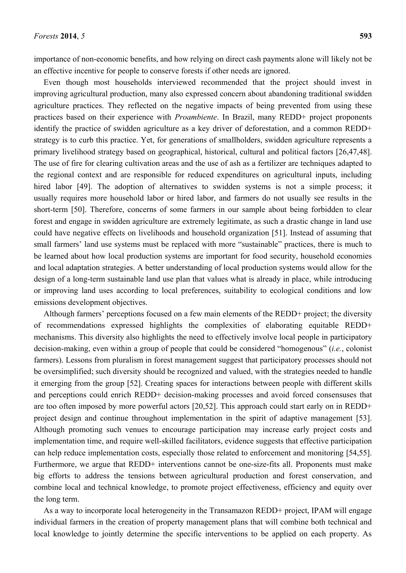importance of non-economic benefits, and how relying on direct cash payments alone will likely not be an effective incentive for people to conserve forests if other needs are ignored.

Even though most households interviewed recommended that the project should invest in improving agricultural production, many also expressed concern about abandoning traditional swidden agriculture practices. They reflected on the negative impacts of being prevented from using these practices based on their experience with *Proambiente*. In Brazil, many REDD+ project proponents identify the practice of swidden agriculture as a key driver of deforestation, and a common REDD+ strategy is to curb this practice. Yet, for generations of smallholders, swidden agriculture represents a primary livelihood strategy based on geographical, historical, cultural and political factors [26,47,48]. The use of fire for clearing cultivation areas and the use of ash as a fertilizer are techniques adapted to the regional context and are responsible for reduced expenditures on agricultural inputs, including hired labor [49]. The adoption of alternatives to swidden systems is not a simple process; it usually requires more household labor or hired labor, and farmers do not usually see results in the short-term [50]. Therefore, concerns of some farmers in our sample about being forbidden to clear forest and engage in swidden agriculture are extremely legitimate, as such a drastic change in land use could have negative effects on livelihoods and household organization [51]. Instead of assuming that small farmers' land use systems must be replaced with more "sustainable" practices, there is much to be learned about how local production systems are important for food security, household economies and local adaptation strategies. A better understanding of local production systems would allow for the design of a long-term sustainable land use plan that values what is already in place, while introducing or improving land uses according to local preferences, suitability to ecological conditions and low emissions development objectives.

Although farmers' perceptions focused on a few main elements of the REDD+ project; the diversity of recommendations expressed highlights the complexities of elaborating equitable REDD+ mechanisms. This diversity also highlights the need to effectively involve local people in participatory decision-making, even within a group of people that could be considered "homogenous" (*i.e.*, colonist farmers). Lessons from pluralism in forest management suggest that participatory processes should not be oversimplified; such diversity should be recognized and valued, with the strategies needed to handle it emerging from the group [52]. Creating spaces for interactions between people with different skills and perceptions could enrich REDD+ decision-making processes and avoid forced consensuses that are too often imposed by more powerful actors [20,52]. This approach could start early on in REDD+ project design and continue throughout implementation in the spirit of adaptive management [53]. Although promoting such venues to encourage participation may increase early project costs and implementation time, and require well-skilled facilitators, evidence suggests that effective participation can help reduce implementation costs, especially those related to enforcement and monitoring [54,55]. Furthermore, we argue that REDD+ interventions cannot be one-size-fits all. Proponents must make big efforts to address the tensions between agricultural production and forest conservation, and combine local and technical knowledge, to promote project effectiveness, efficiency and equity over the long term.

As a way to incorporate local heterogeneity in the Transamazon REDD+ project, IPAM will engage individual farmers in the creation of property management plans that will combine both technical and local knowledge to jointly determine the specific interventions to be applied on each property. As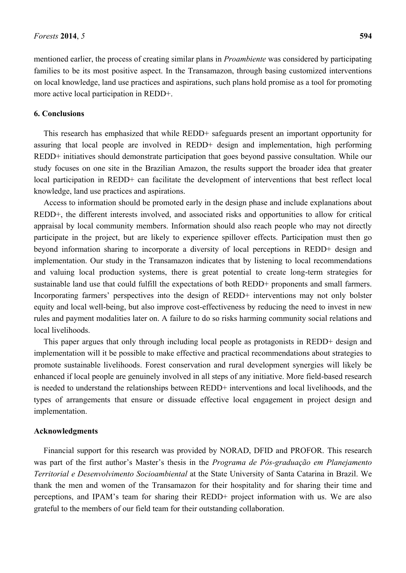mentioned earlier, the process of creating similar plans in *Proambiente* was considered by participating families to be its most positive aspect. In the Transamazon, through basing customized interventions on local knowledge, land use practices and aspirations, such plans hold promise as a tool for promoting more active local participation in REDD+.

#### **6. Conclusions**

This research has emphasized that while REDD+ safeguards present an important opportunity for assuring that local people are involved in REDD+ design and implementation, high performing REDD+ initiatives should demonstrate participation that goes beyond passive consultation. While our study focuses on one site in the Brazilian Amazon, the results support the broader idea that greater local participation in REDD+ can facilitate the development of interventions that best reflect local knowledge, land use practices and aspirations.

Access to information should be promoted early in the design phase and include explanations about REDD+, the different interests involved, and associated risks and opportunities to allow for critical appraisal by local community members. Information should also reach people who may not directly participate in the project, but are likely to experience spillover effects. Participation must then go beyond information sharing to incorporate a diversity of local perceptions in REDD+ design and implementation. Our study in the Transamazon indicates that by listening to local recommendations and valuing local production systems, there is great potential to create long-term strategies for sustainable land use that could fulfill the expectations of both REDD+ proponents and small farmers. Incorporating farmers' perspectives into the design of REDD+ interventions may not only bolster equity and local well-being, but also improve cost-effectiveness by reducing the need to invest in new rules and payment modalities later on. A failure to do so risks harming community social relations and local livelihoods.

This paper argues that only through including local people as protagonists in REDD+ design and implementation will it be possible to make effective and practical recommendations about strategies to promote sustainable livelihoods. Forest conservation and rural development synergies will likely be enhanced if local people are genuinely involved in all steps of any initiative. More field-based research is needed to understand the relationships between REDD+ interventions and local livelihoods, and the types of arrangements that ensure or dissuade effective local engagement in project design and implementation.

#### **Acknowledgments**

Financial support for this research was provided by NORAD, DFID and PROFOR. This research was part of the first author's Master's thesis in the *Programa de Pós-graduação em Planejamento Territorial e Desenvolvimento Socioambiental* at the State University of Santa Catarina in Brazil. We thank the men and women of the Transamazon for their hospitality and for sharing their time and perceptions, and IPAM's team for sharing their REDD+ project information with us. We are also grateful to the members of our field team for their outstanding collaboration.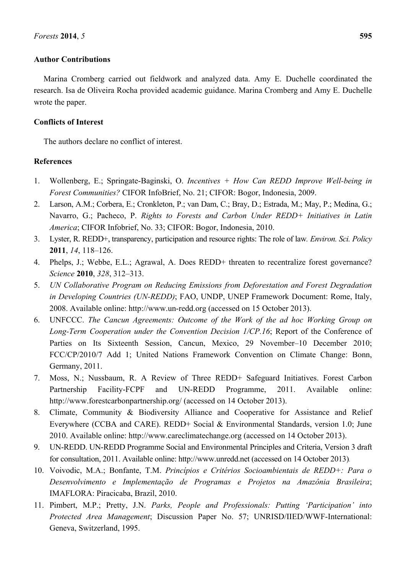## **Author Contributions**

Marina Cromberg carried out fieldwork and analyzed data. Amy E. Duchelle coordinated the research. Isa de Oliveira Rocha provided academic guidance. Marina Cromberg and Amy E. Duchelle wrote the paper.

## **Conflicts of Interest**

The authors declare no conflict of interest.

## **References**

- 1. Wollenberg, E.; Springate-Baginski, O. *Incentives + How Can REDD Improve Well-being in Forest Communities?* CIFOR InfoBrief, No. 21; CIFOR: Bogor, Indonesia, 2009.
- 2. Larson, A.M.; Corbera, E.; Cronkleton, P.; van Dam, C.; Bray, D.; Estrada, M.; May, P.; Medina, G.; Navarro, G.; Pacheco, P. *Rights to Forests and Carbon Under REDD+ Initiatives in Latin America*; CIFOR Infobrief, No. 33; CIFOR: Bogor, Indonesia, 2010.
- 3. Lyster, R. REDD+, transparency, participation and resource rights: The role of law*. Environ. Sci. Policy* **2011**, *14*, 118–126.
- 4. Phelps, J.; Webbe, E.L.; Agrawal, A. Does REDD+ threaten to recentralize forest governance? *Science* **2010**, *328*, 312–313.
- 5. *UN Collaborative Program on Reducing Emissions from Deforestation and Forest Degradation in Developing Countries (UN-REDD)*; FAO, UNDP, UNEP Framework Document: Rome, Italy, 2008. Available online: http://www.un-redd.org (accessed on 15 October 2013).
- 6. UNFCCC. *The Cancun Agreements: Outcome of the Work of the ad hoc Working Group on Long-Term Cooperation under the Convention Decision 1/CP.16*; Report of the Conference of Parties on Its Sixteenth Session, Cancun, Mexico, 29 November–10 December 2010; FCC/CP/2010/7 Add 1; United Nations Framework Convention on Climate Change: Bonn, Germany, 2011.
- 7. Moss, N.; Nussbaum, R. A Review of Three REDD+ Safeguard Initiatives. Forest Carbon Partnership Facility-FCPF and UN-REDD Programme, 2011. Available online: http://www.forestcarbonpartnership.org/ (accessed on 14 October 2013).
- 8. Climate, Community & Biodiversity Alliance and Cooperative for Assistance and Relief Everywhere (CCBA and CARE). REDD+ Social & Environmental Standards, version 1.0; June 2010. Available online: http://www.careclimatechange.org (accessed on 14 October 2013).
- 9. UN-REDD. UN-REDD Programme Social and Environmental Principles and Criteria, Version 3 draft for consultation, 2011. Available online: http://www.unredd.net (accessed on 14 October 2013)*.*
- 10. Voivodic, M.A.; Bonfante, T.M. *Princípios e Critérios Socioambientais de REDD+: Para o Desenvolvimento e Implementação de Programas e Projetos na Amazônia Brasileira*; IMAFLORA: Piracicaba, Brazil, 2010.
- 11. Pimbert, M.P.; Pretty, J.N. *Parks, People and Professionals: Putting 'Participation' into Protected Area Management*; Discussion Paper No. 57; UNRISD/IIED/WWF-International: Geneva, Switzerland, 1995.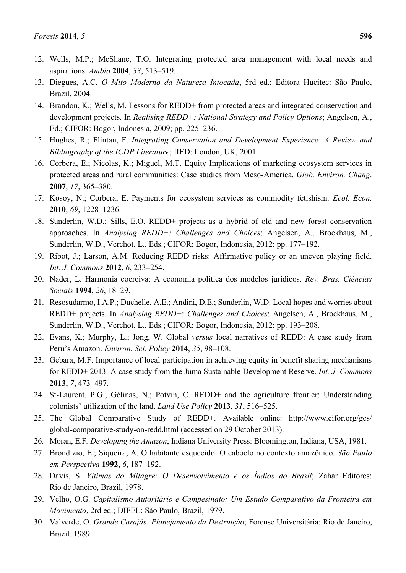- 12. Wells, M.P.; McShane, T.O. Integrating protected area management with local needs and aspirations. *Ambio* **2004**, *33*, 513–519.
- 13. Diegues, A.C. *O Mito Moderno da Natureza Intocada*, 5rd ed.; Editora Hucitec: São Paulo, Brazil, 2004.
- 14. Brandon, K.; Wells, M. Lessons for REDD+ from protected areas and integrated conservation and development projects. In *Realising REDD+: National Strategy and Policy Options*; Angelsen, A., Ed.; CIFOR: Bogor, Indonesia, 2009; pp. 225–236.
- 15. Hughes, R.; Flintan, F. *Integrating Conservation and Development Experience: A Review and Bibliography of the ICDP Literature*; IIED: London, UK, 2001.
- 16. Corbera, E.; Nicolas, K.; Miguel, M.T. Equity Implications of marketing ecosystem services in protected areas and rural communities: Case studies from Meso-America. *Glob. Environ. Chang*. **2007**, *17*, 365–380.
- 17. Kosoy, N.; Corbera, E. Payments for ecosystem services as commodity fetishism. *Ecol. Econ.* **2010**, *69*, 1228–1236.
- 18. Sunderlin, W.D.; Sills, E.O. REDD+ projects as a hybrid of old and new forest conservation approaches. In *Analysing REDD+: Challenges and Choices*; Angelsen, A., Brockhaus, M., Sunderlin, W.D., Verchot, L., Eds.; CIFOR: Bogor, Indonesia, 2012; pp. 177–192.
- 19. Ribot, J.; Larson, A.M. Reducing REDD risks: Affirmative policy or an uneven playing field. *Int. J. Commons* **2012**, *6*, 233–254.
- 20. Nader, L. Harmonia coerciva: A economia política dos modelos jurídicos. *Rev. Bras. Ciências Sociais* **1994**, *26*, 18–29.
- 21. Resosudarmo, I.A.P.; Duchelle, A.E.; Andini, D.E.; Sunderlin, W.D. Local hopes and worries about REDD+ projects. In *Analysing REDD+*: *Challenges and Choices*; Angelsen, A., Brockhaus, M., Sunderlin, W.D., Verchot, L., Eds.; CIFOR: Bogor, Indonesia, 2012; pp. 193–208.
- 22. Evans, K.; Murphy, L.; Jong, W. Global *versus* local narratives of REDD: A case study from Peru's Amazon. *Environ. Sci. Policy* **2014**, *35*, 98–108.
- 23. Gebara, M.F. Importance of local participation in achieving equity in benefit sharing mechanisms for REDD+ 2013: A case study from the Juma Sustainable Development Reserve. *Int. J. Commons* **2013**, *7*, 473–497.
- 24. St-Laurent, P.G.; Gélinas, N.; Potvin, C. REDD+ and the agriculture frontier: Understanding colonists' utilization of the land. *Land Use Policy* **2013**, *31*, 516–525.
- 25. The Global Comparative Study of REDD+. Available online: http://www.cifor.org/gcs/ global-comparative-study-on-redd.html (accessed on 29 October 2013).
- 26. Moran, E.F*. Developing the Amazon*; Indiana University Press: Bloomington, Indiana, USA, 1981.
- 27. Brondízio, E.; Siqueira, A. O habitante esquecido: O caboclo no contexto amazônico*. São Paulo em Perspectiva* **1992**, *6*, 187–192.
- 28. Davis, S. *Vítimas do Milagre: O Desenvolvimento e os Índios do Brasil*; Zahar Editores: Rio de Janeiro, Brazil, 1978.
- 29. Velho, O.G. *Capitalismo Autoritário e Campesinato: Um Estudo Comparativo da Fronteira em Movimento*, 2rd ed.; DIFEL: São Paulo, Brazil, 1979.
- 30. Valverde, O. *Grande Carajás: Planejamento da Destruição*; Forense Universitária: Rio de Janeiro, Brazil, 1989.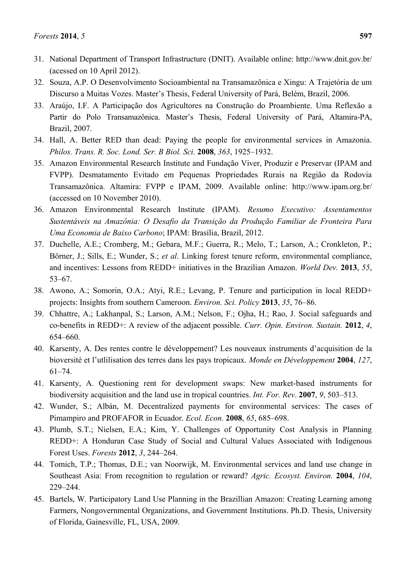- 31. National Department of Transport Infrastructure (DNIT). Available online: [http://www.dnit.gov.br/](http://www.dnit.gov.br/rodovias/rodovias-federais/nomeclatura-das-rodovias-federais/rodovias-transversais.pdf) (acessed on 10 April 2012).
- 32. Souza, A.P. O Desenvolvimento Socioambiental na Transamazônica e Xingu: A Trajetória de um Discurso a Muitas Vozes. Master's Thesis, Federal University of Pará, Belém, Brazil, 2006.
- 33. Araújo, I.F. A Participação dos Agricultores na Construção do Proambiente. Uma Reflexão a Partir do Polo Transamazônica. Master's Thesis, Federal University of Pará, Altamira-PA, Brazil, 2007.
- 34. Hall, A. Better RED than dead: Paying the people for environmental services in Amazonia. *Philos. Trans. R. Soc. Lond. Ser. B Biol. Sci.* **2008**, *363*, 1925–1932.
- 35. Amazon Environmental Research Institute and Fundação Viver, Produzir e Preservar (IPAM and FVPP). Desmatamento Evitado em Pequenas Propriedades Rurais na Região da Rodovia Transamazônica. Altamira: FVPP e IPAM, 2009. Available online: http://www.ipam.org.br/ (accessed on 10 November 2010).
- 36. Amazon Environmental Research Institute (IPAM). *Resumo Executivo: Assentamentos Sustentáveis na Amazônia: O Desafio da Transição da Produção Familiar de Fronteira Para Uma Economia de Baixo Carbono*; IPAM: Brasília, Brazil, 2012.
- 37. Duchelle, A.E.; Cromberg, M.; Gebara, M.F.; Guerra, R.; Melo, T.; Larson, A.; Cronkleton, P.; Börner, J.; Sills, E.; Wunder, S.; *et al*. Linking forest tenure reform, environmental compliance, and incentives: Lessons from REDD+ initiatives in the Brazilian Amazon. *World Dev.* **2013**, *55*, 53–67.
- 38. Awono, A.; Somorin, O.A.; Atyi, R.E.; Levang, P. Tenure and participation in local REDD+ projects: Insights from southern Cameroon. *Environ. Sci. Policy* **2013**, *35*, 76–86.
- 39. Chhattre, A.; Lakhanpal, S.; Larson, A.M.; Nelson, F.; Ojha, H.; Rao, J. Social safeguards and co-benefits in REDD+: A review of the adjacent possible. *Curr. Opin. Environ. Sustain.* **2012**, *4*, 654–660.
- 40. Karsenty, A. Des rentes contre le développement? Les nouveaux instruments d'acquisition de la bioversité et l'utlilisation des terres dans les pays tropicaux. *Monde en Développement* **2004**, *127*, 61–74.
- 41. Karsenty, A. Questioning rent for development swaps: New market-based instruments for biodiversity acquisition and the land use in tropical countries. *Int. For. Rev*. **2007**, *9*, 503–513.
- 42. Wunder, S.; Albán, M. Decentralized payments for environmental services: The cases of Pimampiro and PROFAFOR in Ecuador. *Ecol. Econ.* **2008**, *65*, 685–698.
- 43. Plumb, S.T.; Nielsen, E.A.; Kim, Y. Challenges of Opportunity Cost Analysis in Planning REDD+: A Honduran Case Study of Social and Cultural Values Associated with Indigenous Forest Uses. *Forests* **2012**, *3*, 244–264.
- 44. Tomich, T.P.; Thomas, D.E.; van Noorwijk, M. Environmental services and land use change in Southeast Asia: From recognition to regulation or reward? *Agric. Ecosyst. Environ.* **2004**, *104*, 229–244.
- 45. Bartels, W. Participatory Land Use Planning in the Brazillian Amazon: Creating Learning among Farmers, Nongovernmental Organizations, and Government Institutions. Ph.D. Thesis, University of Florida, Gainesville, FL, USA, 2009.